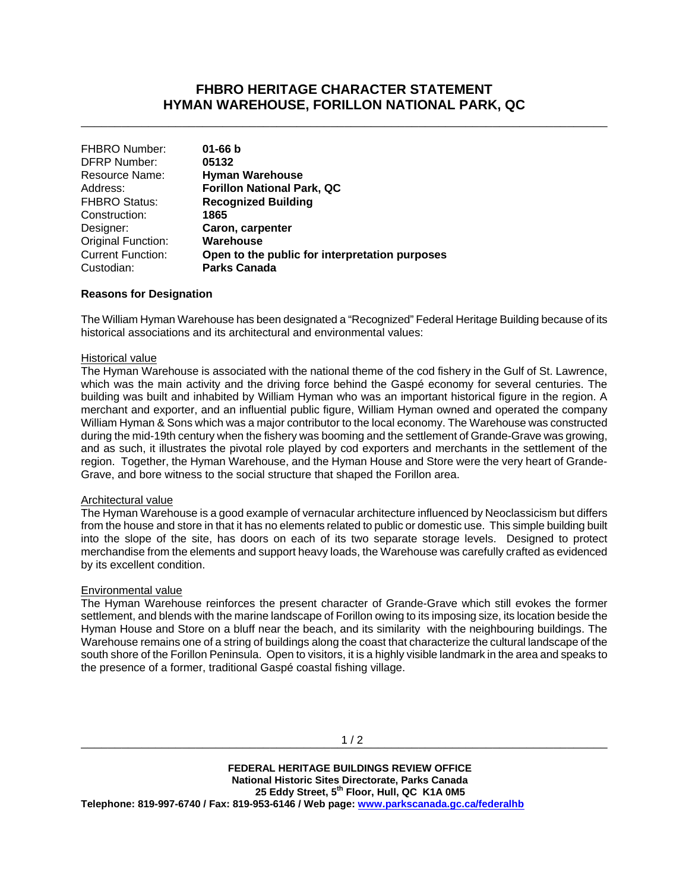# **FHBRO HERITAGE CHARACTER STATEMENT HYMAN WAREHOUSE, FORILLON NATIONAL PARK, QC**

\_\_\_\_\_\_\_\_\_\_\_\_\_\_\_\_\_\_\_\_\_\_\_\_\_\_\_\_\_\_\_\_\_\_\_\_\_\_\_\_\_\_\_\_\_\_\_\_\_\_\_\_\_\_\_\_\_\_\_\_\_\_\_\_\_\_\_\_\_\_\_\_\_\_\_\_\_\_

| <b>FHBRO Number:</b><br>$01 - 66 b$                                        |  |
|----------------------------------------------------------------------------|--|
| <b>DFRP Number:</b><br>05132                                               |  |
| Resource Name:<br><b>Hyman Warehouse</b>                                   |  |
| <b>Forillon National Park, QC</b><br>Address:                              |  |
| <b>Recognized Building</b><br><b>FHBRO Status:</b>                         |  |
| Construction:<br>1865                                                      |  |
| Caron, carpenter<br>Designer:                                              |  |
| Original Function:<br>Warehouse                                            |  |
| <b>Current Function:</b><br>Open to the public for interpretation purposes |  |
| <b>Parks Canada</b><br>Custodian:                                          |  |

### **Reasons for Designation**

The William Hyman Warehouse has been designated a "Recognized" Federal Heritage Building because of its historical associations and its architectural and environmental values:

#### Historical value

The Hyman Warehouse is associated with the national theme of the cod fishery in the Gulf of St. Lawrence, which was the main activity and the driving force behind the Gaspé economy for several centuries. The building was built and inhabited by William Hyman who was an important historical figure in the region. A merchant and exporter, and an influential public figure, William Hyman owned and operated the company William Hyman & Sons which was a major contributor to the local economy. The Warehouse was constructed during the mid-19th century when the fishery was booming and the settlement of Grande-Grave was growing, and as such, it illustrates the pivotal role played by cod exporters and merchants in the settlement of the region. Together, the Hyman Warehouse, and the Hyman House and Store were the very heart of Grande-Grave, and bore witness to the social structure that shaped the Forillon area.

## Architectural value

The Hyman Warehouse is a good example of vernacular architecture influenced by Neoclassicism but differs from the house and store in that it has no elements related to public or domestic use. This simple building built into the slope of the site, has doors on each of its two separate storage levels. Designed to protect merchandise from the elements and support heavy loads, the Warehouse was carefully crafted as evidenced by its excellent condition.

#### Environmental value

The Hyman Warehouse reinforces the present character of Grande-Grave which still evokes the former settlement, and blends with the marine landscape of Forillon owing to its imposing size, its location beside the Hyman House and Store on a bluff near the beach, and its similarity with the neighbouring buildings. The Warehouse remains one of a string of buildings along the coast that characterize the cultural landscape of the south shore of the Forillon Peninsula. Open to visitors, it is a highly visible landmark in the area and speaks to the presence of a former, traditional Gaspé coastal fishing village.

 **FEDERAL HERITAGE BUILDINGS REVIEW OFFICE National Historic Sites Directorate, Parks Canada 25 Eddy Street, 5th Floor, Hull, QC K1A 0M5 Telephone: 819-997-6740 / Fax: 819-953-6146 / Web page: www.parkscanada.gc.ca/federalhb**